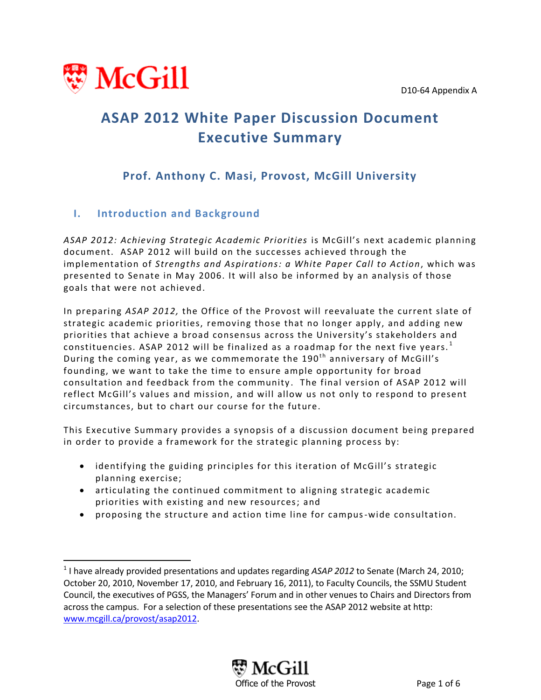D10-64 Appendix A



 $\overline{\phantom{a}}$ 

# **ASAP 2012 White Paper Discussion Document Executive Summary**

# **Prof. Anthony C. Masi, Provost, McGill University**

# **I. Introduction and Background**

*ASAP 2012: Achieving Strategic Academic Priorities* is McGill's next academic planning document. ASAP 2012 will build on the successes achieved through the implementation of *Strengths and Aspirations: a White Paper Call to Action*, which was presented to Senate in May 2006. It will also be informed by an analysis of those goals that were not achieved.

In preparing *ASAP 2012,* the Office of the Provost will reevaluate the current slate of strategic academic priorities, removing those that no longer apply, and adding new priorities that achieve a broad consensus across the University's stakeholders and constituencies. ASAP 2012 will be finalized as a roadmap for the next five years. $^{\rm 1}$ During the coming year, as we commemorate the 190<sup>th</sup> anniversary of McGill's founding, we want to take the time to ensure ample opportunity for broad consultation and feedback from the community. The final version of ASAP 2012 will reflect McGill's values and mission, and will allow us not only to respond to present circumstances, but to chart our course for the future.

This Executive Summary provides a synopsis of a discussion document being prepared in order to provide a framework for the strategic planning process by:

- identifying the guiding principles for this iteration of McGill's strategic planning exercise;
- articulating the continued commitment to aligning strategic academic priorities with existing and new resources; and
- proposing the structure and action time line for campus-wide consultation.

<sup>&</sup>lt;sup>1</sup> I have already provided presentations and updates regarding *ASAP 2012* to Senate (March 24, 2010; October 20, 2010, November 17, 2010, and February 16, 2011), to Faculty Councils, the SSMU Student Council, the executives of PGSS, the Managers' Forum and in other venues to Chairs and Directors from across the campus. For a selection of these presentations see the ASAP 2012 website at http: [www.mcgill.ca/provost/asap2012.](http://www.mcgill.ca/provost/asap2012)

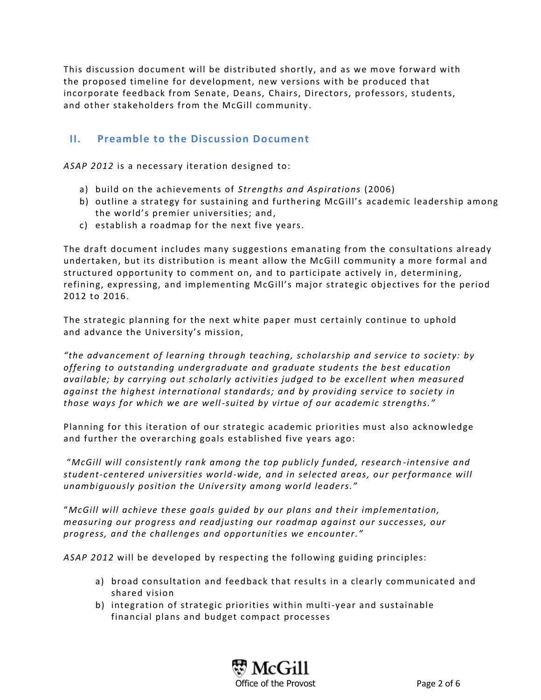This discussion document will be distributed shortly, and as we move forward with the proposed timeline for development, new versions with be produced that incorporate feedback from Senate, Deans, Chairs, Directors, professors, students, and other stakeholders from the McGill community .

## **II. Preamble to the Discussion Document**

*ASAP 2012* is a necessary iteration designed to:

- a) build on the achievements of *Strengths and Aspirations* (2006)
- b) outline a strategy for sustaining and furthering McGill's academic leadership among the world's premier universities; and,
- c) establish a roadmap for the next five years.

The draft document includes many suggestions emanating from the consultations already undertaken, but its distribution is meant allow the McGill community a more formal and structured opportunity to comment on, and to participate actively in, determining, refining, expressing, and implementing McGill's major strategic objectives for the period 2012 to 2016.

The strategic planning for the next white paper must certainly continue to uphold and advance the University's mission,

*"the advancement of learning through teaching, scholarship and service to society: by offering to outstanding undergraduate and graduate students the best education available; by carrying out scholarly activities judged to be excellent when measured against the highest international standards; and by providing service to society in those ways for which we are well-suited by virtue of our academic strengths."* 

Planning for this iteration of our strategic academic priorities must also acknowledge and further the overarching goals established five years ago:

"*McGill will consistently rank among the top publicly funded, research -intensive and student-centered universities world-wide, and in selected areas, our performance will unambiguously position the University among world leaders."* 

"*McGill will achieve these goals guided by our plans and their implementation, measuring our progress and readjusting our roadmap against our successes, our progress, and the challenges and opportunities we encounter."*

*ASAP 2012* will be developed by respecting the following guiding principles:

- a) broad consultation and feedback that results in a clearly communicated and shared vision
- b) integration of strategic priorities within multi-year and sustainable financial plans and budget compact processes

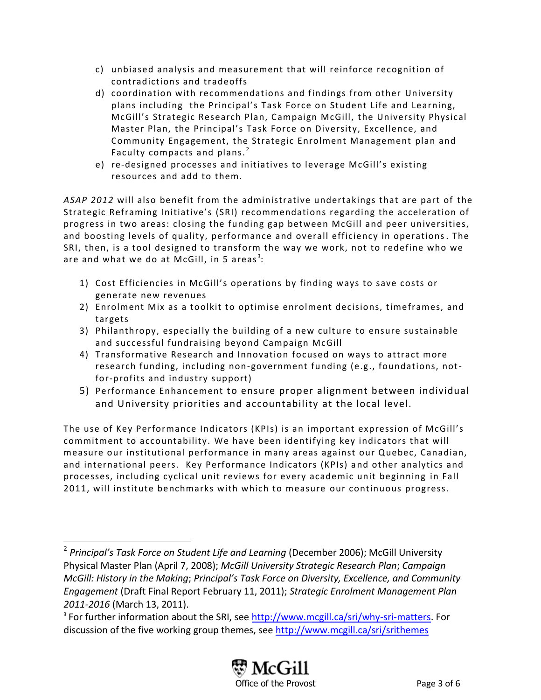- c) unbiased analysis and measurement that will reinforce recognition of contradictions and tradeoffs
- d) coordination with recommendations and findings from other University plans including the Principal's Task Force on Student Life and Learning, McGill's Strategic Research Plan, Campaign McGill, the University Physical Master Plan, the Principal's Task Force on Diversity, Excellence, and Community Engagement, the Strategic Enrolment Management plan and Faculty compacts and plans.<sup>2</sup>
- e) re-designed processes and initiatives to leverage McGill's existing resources and add to them.

*ASAP 2012* will also benefit from the administrative undertakings that are part of the Strategic Reframing Initiative's (SRI) recommendations regarding the acceleration of progress in two areas: closing the funding gap between McGill and peer universities, and boosting levels of quality, performance and overall efficiency in operations. The SRI, then, is a tool designed to transform the way we work, not to redefine who we are and what we do at McGill, in 5 areas $^3\!$ :

- 1) Cost Efficiencies in McGill's operations by finding ways to save costs or generate new revenues
- 2) Enrolment Mix as a toolkit to optimise enrolment decisions, timeframes, and targets
- 3) Philanthropy, especially the building of a new culture to ensure sustainable and successful fundraising beyond Campaign McGill
- 4) Transformative Research and Innovation focused on ways to attract more research funding, including non-government funding (e.g., foundations, notfor-profits and industry support)
- 5) Performance Enhancement to ensure proper alignment between individual and University priorities and accountability at the local level.

The use of Key Performance Indicators (KPIs) is an important expression of McGill's commitment to accountability. We have been identifying key indicators that will measure our institutional performance in many areas against our Quebec, Canadian, and international peers. Key Performance Indicators (KPIs) a nd other analytics and processes, including cyclical unit reviews for every academic unit beginning in Fall 2011, will institute benchmarks with which to measure our continuous progress.

 $\overline{a}$ 

<sup>&</sup>lt;sup>3</sup> For further information about the SRI, see [http://www.mcgill.ca/sri/why-sri-matters.](http://www.mcgill.ca/sri/why-sri-matters) For discussion of the five working group themes, see<http://www.mcgill.ca/sri/srithemes>



<sup>2</sup> *Principal's Task Force on Student Life and Learning* (December 2006); McGill University Physical Master Plan (April 7, 2008); *McGill University Strategic Research Plan*; *Campaign McGill: History in the Making*; *Principal's Task Force on Diversity, Excellence, and Community Engagement* (Draft Final Report February 11, 2011); *Strategic Enrolment Management Plan 2011-2016* (March 13, 2011).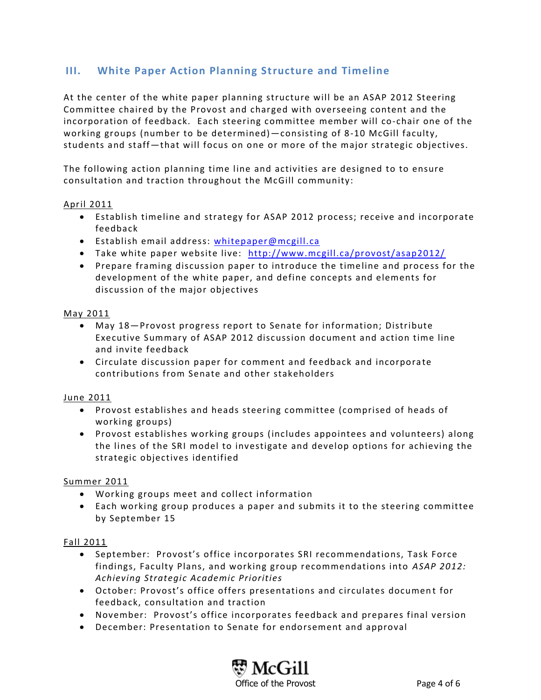# **III. White Paper Action Planning Structure and Timeline**

At the center of the white paper planning structure will be an ASAP 2012 Steering Committee chaired by the Provost and charged with overseeing content and the incorporation of feedback. Each steering committee member will co-chair one of the working groups (number to be determined)—consisting of 8-10 McGill faculty, students and staff—that will focus on one or more of the major strategic objectives.

The following action planning time line and activities are designed to to ensure consultation and traction throughout the McGill community:

#### April 2011

- Establish timeline and strategy for ASAP 2012 process; receive and incorporate feedback
- Establish email address: [whitepaper@mcgill.ca](mailto:whitepaper@mcgill.ca)
- Take white paper website live: <http://www.mcgill.ca/provost/asap2012/>
- Prepare framing discussion paper to introduce the timeline and process for the development of the white paper, and define concepts and elements for discussion of the major objectives

#### May 2011

- May 18—Provost progress report to Senate for information; Distribute Executive Summary of ASAP 2012 discussion document and action time line and invite feedback
- Circulate discussion paper for comment and feedback and incorpora te contributions from Senate and other stakeholders

#### June 2011

- Provost establishes and heads steering committee (comprised of heads of working groups)
- Provost establishes working groups (includes appointees and volunteers) along the lines of the SRI model to investigate and develop options for achieving the strategic objectives identified

#### Summer 2011

- Working groups meet and collect information
- Each working group produces a paper and submits it to the steering committee by September 15

#### Fall 2011

- September: Provost's office incorporates SRI recommendations, Task Force findings, Faculty Plans, and working group recommendations into *ASAP 2012: Achieving Strategic Academic Priorities*
- October: Provost's office offers presentations and circulates documen t for feedback, consultation and traction
- November: Provost's office incorporates feedback and prepares final version
- December: Presentation to Senate for endorsement and approval

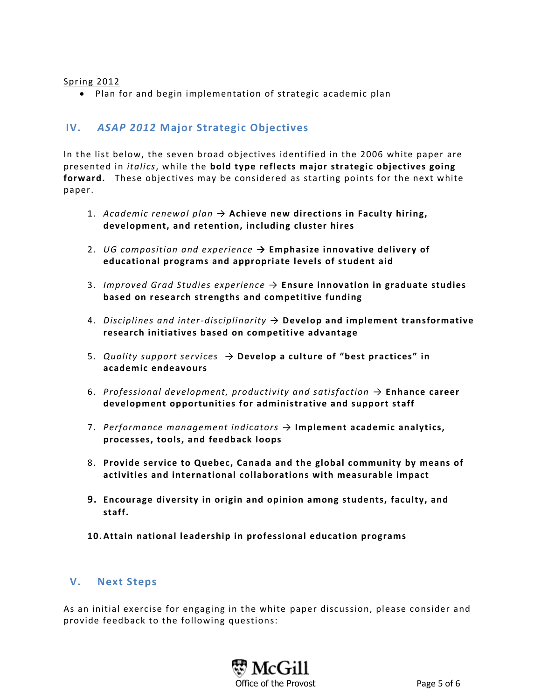#### Spring 2012

Plan for and begin implementation of strategic academic plan

### **IV.** *ASAP 2012* **Major Strategic Objectives**

In the list below, the seven broad objectives identified in the 2006 white paper are presented in *italics*, while the **bold type reflects major strategic objectives going forward.** These objectives may be considered as starting points for the next white paper.

- 1. *Academic renewal plan* → **Achieve new directions in Faculty hiring, development, and retention, including cluster hires**
- 2. *UG composition and experience* **→ Emphasize innovative delivery of educational programs and appropriate levels of student aid**
- 3. *Improved Grad Studies experience* → **Ensure innovation in graduate studies based on research strengths and competitive funding**
- 4. *Disciplines and inter-disciplinarity* → **Develop and implement transformative research initiatives based on competitive advantage**
- 5. *Quality support services* → **Develop a culture of "best practices" in academic endeavours**
- 6. *Professional development, productivity and satisfaction* → **Enhance career development opportunities for administrative and support staff**
- 7. *Performance management indicators* → **Implement academic analytics, processes, tools, and feedback loops**
- 8. **Provide service to Quebec, Canada and the global community by means of activities and international collaborations with measurable impact**
- **9. Encourage diversity in origin and opinion among students, faculty, and staff.**
- **10. Attain national leadership in professional education programs**

#### **V. Next Steps**

As an initial exercise for engaging in the white paper discussion, please consider and provide feedback to the following questions: